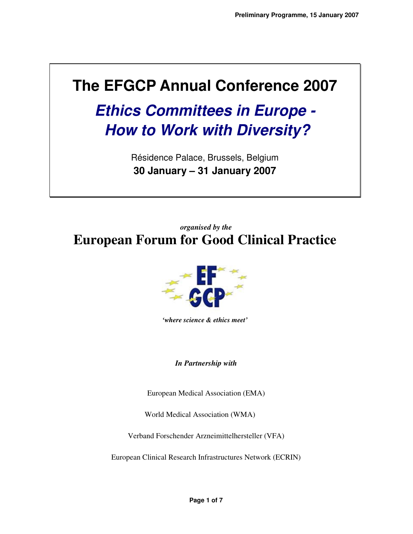# **The EFGCP Annual Conference 2007**

**Ethics Committees in Europe - How to Work with Diversity?** 

> Résidence Palace, Brussels, Belgium **30 January – 31 January 2007**

*organised by the* **European Forum for Good Clinical Practice** 



*'where science & ethics meet'* 

*In Partnership with* 

European Medical Association (EMA)

World Medical Association (WMA)

Verband Forschender Arzneimittelhersteller (VFA)

European Clinical Research Infrastructures Network (ECRIN)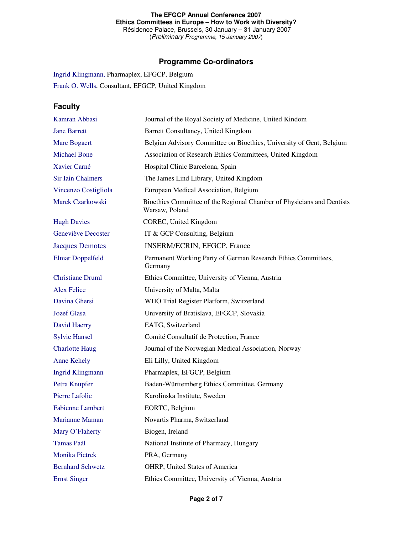#### **The EFGCP Annual Conference 2007 Ethics Committees in Europe – How to Work with Diversity?**  Résidence Palace, Brussels, 30 January – 31 January 2007 (Preliminary Programme, 15 January 2007)

**Programme Co-ordinators** 

Ingrid Klingmann, Pharmaplex, EFGCP, Belgium Frank O. Wells, Consultant, EFGCP, United Kingdom

## **Faculty**

| Kamran Abbasi            | Journal of the Royal Society of Medicine, United Kindom                                  |
|--------------------------|------------------------------------------------------------------------------------------|
| <b>Jane Barrett</b>      | Barrett Consultancy, United Kingdom                                                      |
| Marc Bogaert             | Belgian Advisory Committee on Bioethics, University of Gent, Belgium                     |
| <b>Michael Bone</b>      | Association of Research Ethics Committees, United Kingdom                                |
| Xavier Carné             | Hospital Clinic Barcelona, Spain                                                         |
| <b>Sir Iain Chalmers</b> | The James Lind Library, United Kingdom                                                   |
| Vincenzo Costigliola     | European Medical Association, Belgium                                                    |
| Marek Czarkowski         | Bioethics Committee of the Regional Chamber of Physicians and Dentists<br>Warsaw, Poland |
| <b>Hugh Davies</b>       | COREC, United Kingdom                                                                    |
| Geneviève Decoster       | IT & GCP Consulting, Belgium                                                             |
| <b>Jacques Demotes</b>   | INSERM/ECRIN, EFGCP, France                                                              |
| <b>Elmar Doppelfeld</b>  | Permanent Working Party of German Research Ethics Committees,<br>Germany                 |
| <b>Christiane Druml</b>  | Ethics Committee, University of Vienna, Austria                                          |
| <b>Alex Felice</b>       | University of Malta, Malta                                                               |
| Davina Ghersi            | WHO Trial Register Platform, Switzerland                                                 |
| <b>Jozef Glasa</b>       | University of Bratislava, EFGCP, Slovakia                                                |
| David Haerry             | EATG, Switzerland                                                                        |
| <b>Sylvie Hansel</b>     | Comité Consultatif de Protection, France                                                 |
| <b>Charlotte Haug</b>    | Journal of the Norwegian Medical Association, Norway                                     |
| <b>Anne Kehely</b>       | Eli Lilly, United Kingdom                                                                |
| <b>Ingrid Klingmann</b>  | Pharmaplex, EFGCP, Belgium                                                               |
| Petra Knupfer            | Baden-Württemberg Ethics Committee, Germany                                              |
| Pierre Lafolie           | Karolinska Institute, Sweden                                                             |
| <b>Fabienne Lambert</b>  | EORTC, Belgium                                                                           |
| <b>Marianne Maman</b>    | Novartis Pharma, Switzerland                                                             |
| Mary O'Flaherty          | Biogen, Ireland                                                                          |
| <b>Tamas Paál</b>        | National Institute of Pharmacy, Hungary                                                  |
| Monika Pietrek           | PRA, Germany                                                                             |
| <b>Bernhard Schwetz</b>  | OHRP, United States of America                                                           |
| <b>Ernst Singer</b>      | Ethics Committee, University of Vienna, Austria                                          |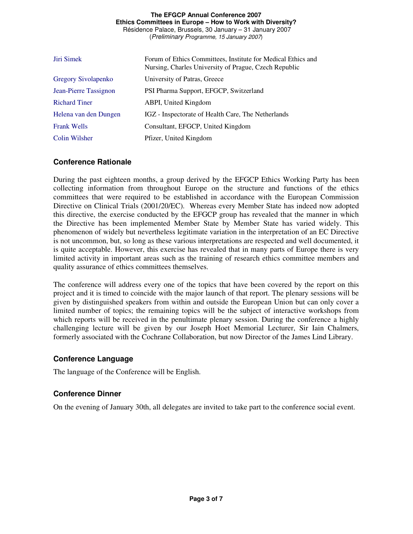#### **The EFGCP Annual Conference 2007 Ethics Committees in Europe – How to Work with Diversity?**  Résidence Palace, Brussels, 30 January – 31 January 2007 (Preliminary Programme, 15 January 2007)

Jiri SimekForum of Ethics Committees, Institute for Medical Ethics and Nursing, Charles University of Prague, Czech Republic Gregory Sivolapenko University of Patras, Greece Jean-Pierre Tassignon PSI Pharma Support, EFGCP, Switzerland Richard Tiner ABPI, United Kingdom Helena van den Dungen IGZ - Inspectorate of Health Care, The Netherlands Frank Wells Consultant, EFGCP, United Kingdom Colin Wilsher Pfizer, United Kingdom

## **Conference Rationale**

During the past eighteen months, a group derived by the EFGCP Ethics Working Party has been collecting information from throughout Europe on the structure and functions of the ethics committees that were required to be established in accordance with the European Commission Directive on Clinical Trials (2001/20/EC). Whereas every Member State has indeed now adopted this directive, the exercise conducted by the EFGCP group has revealed that the manner in which the Directive has been implemented Member State by Member State has varied widely. This phenomenon of widely but nevertheless legitimate variation in the interpretation of an EC Directive is not uncommon, but, so long as these various interpretations are respected and well documented, it is quite acceptable. However, this exercise has revealed that in many parts of Europe there is very limited activity in important areas such as the training of research ethics committee members and quality assurance of ethics committees themselves.

The conference will address every one of the topics that have been covered by the report on this project and it is timed to coincide with the major launch of that report. The plenary sessions will be given by distinguished speakers from within and outside the European Union but can only cover a limited number of topics; the remaining topics will be the subject of interactive workshops from which reports will be received in the penultimate plenary session. During the conference a highly challenging lecture will be given by our Joseph Hoet Memorial Lecturer, Sir Iain Chalmers, formerly associated with the Cochrane Collaboration, but now Director of the James Lind Library.

## **Conference Language**

The language of the Conference will be English.

## **Conference Dinner**

On the evening of January 30th, all delegates are invited to take part to the conference social event.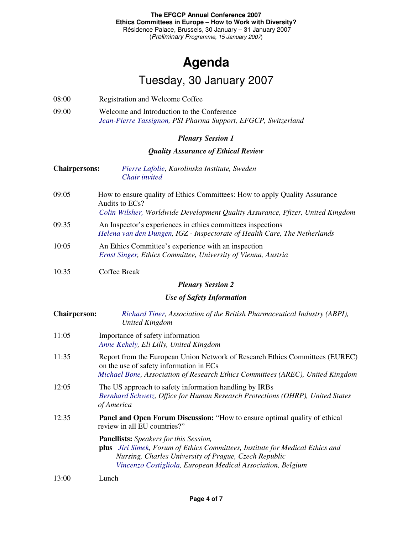## **Agenda**  Tuesday, 30 January 2007

- 08:00 Registration and Welcome Coffee
- 09:00 Welcome and Introduction to the Conference *Jean-Pierre Tassignon, PSI Pharma Support, EFGCP, Switzerland*

## *Plenary Session 1*

## *Quality Assurance of Ethical Review*

- **Chairpersons:** *Pierre Lafolie*, *Karolinska Institute, Sweden Chair invited*
- 09:05 How to ensure quality of Ethics Committees: How to apply Quality Assurance Audits to ECs? *Colin Wilsher, Worldwide Development Quality Assurance, Pfizer, United Kingdom*
- 09:35 An Inspector's experiences in ethics committees inspections *Helena van den Dungen, IGZ - Inspectorate of Health Care, The Netherlands*
- 10:05 An Ethics Committee's experience with an inspection *Ernst Singer, Ethics Committee, University of Vienna, Austria*

#### $10:35$ Coffee Break

## *Plenary Session 2*

## *Use of Safety Information*

| <b>Chairperson:</b> | Richard Tiner, Association of the British Pharmaceutical Industry (ABPI),<br><b>United Kingdom</b>                                                                                                                                                            |
|---------------------|---------------------------------------------------------------------------------------------------------------------------------------------------------------------------------------------------------------------------------------------------------------|
| 11:05               | Importance of safety information<br>Anne Kehely, Eli Lilly, United Kingdom                                                                                                                                                                                    |
| 11:35               | Report from the European Union Network of Research Ethics Committees (EUREC)<br>on the use of safety information in ECs<br>Michael Bone, Association of Research Ethics Committees (AREC), United Kingdom                                                     |
| 12:05               | The US approach to safety information handling by IRBs<br>Bernhard Schwetz, Office for Human Research Protections (OHRP), United States<br>of America                                                                                                         |
| 12:35               | <b>Panel and Open Forum Discussion:</b> "How to ensure optimal quality of ethical<br>review in all EU countries?"                                                                                                                                             |
|                     | <b>Panellists:</b> Speakers for this Session,<br><b>plus</b> Jiri Simek, Forum of Ethics Committees, Institute for Medical Ethics and<br>Nursing, Charles University of Prague, Czech Republic<br>Vincenzo Costigliola, European Medical Association, Belgium |
| 13:00               | Lunch                                                                                                                                                                                                                                                         |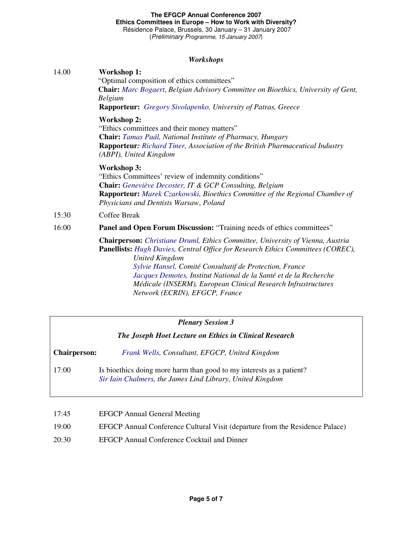### **The EFGCP Annual Conference 2007 Ethics Committees in Europe – How to Work with Diversity?**  Résidence Palace, Brussels, 30 January – 31 January 2007

(Preliminary Programme, 15 January 2007)

## *Workshops*

|       | 11 01 IWJ IVO P 5                                                                                                                                                                                                                                                                                                                                                                                                             |  |
|-------|-------------------------------------------------------------------------------------------------------------------------------------------------------------------------------------------------------------------------------------------------------------------------------------------------------------------------------------------------------------------------------------------------------------------------------|--|
| 14.00 | <b>Workshop 1:</b><br>"Optimal composition of ethics committees"<br><b>Chair:</b> Marc Bogaert, Belgian Advisory Committee on Bioethics, University of Gent,<br><b>Belgium</b><br><b>Rapporteur:</b> Gregory Sivolapenko, University of Patras, Greece                                                                                                                                                                        |  |
|       | <b>Workshop 2:</b><br>"Ethics committees and their money matters"<br>Chair: Tamas Paál, National Institute of Pharmacy, Hungary<br>Rapporteur: Richard Tiner, Association of the British Pharmaceutical Industry<br>(ABPI), United Kingdom                                                                                                                                                                                    |  |
|       | <b>Workshop 3:</b><br>"Ethics Committees' review of indemnity conditions"<br><b>Chair:</b> Geneviève Decoster, IT & GCP Consulting, Belgium<br>Rapporteur: Marek Czarkowski, Bioethics Committee of the Regional Chamber of<br>Physicians and Dentists Warsaw, Poland                                                                                                                                                         |  |
| 15:30 | Coffee Break                                                                                                                                                                                                                                                                                                                                                                                                                  |  |
| 16:00 | Panel and Open Forum Discussion: "Training needs of ethics committees"                                                                                                                                                                                                                                                                                                                                                        |  |
|       | Chairperson: Christiane Druml, Ethics Committee, University of Vienna, Austria<br>Panellists: Hugh Davies, Central Office for Research Ethics Committees (COREC),<br><b>United Kingdom</b><br>Sylvie Hansel, Comité Consultatif de Protection, France<br>Jacques Demotes, Institut National de la Santé et de la Recherche<br>Médicale (INSERM), European Clinical Research Infrastructures<br>Network (ECRIN), EFGCP, France |  |

## *Plenary Session 3*

| The Joseph Hoet Lecture on Ethics in Clinical Research |  |  |  |
|--------------------------------------------------------|--|--|--|
|--------------------------------------------------------|--|--|--|

**Chairperson:** *Frank Wells, Consultant, EFGCP, United Kingdom*

17:00 Is bioethics doing more harm than good to my interests as a patient? *Sir Iain Chalmers, the James Lind Library, United Kingdom* 

- 19:00 EFGCP Annual Conference Cultural Visit (departure from the Residence Palace)
- 20:30 EFGCP Annual Conference Cocktail and Dinner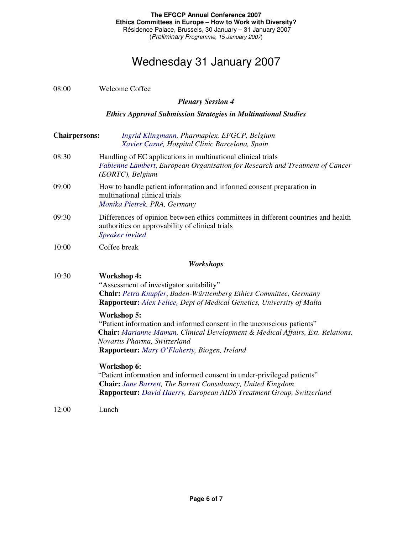## Wednesday 31 January 2007

| 08:00                                                                 | <b>Welcome Coffee</b>                                                                                                                                                                                                                                                 |  |  |  |
|-----------------------------------------------------------------------|-----------------------------------------------------------------------------------------------------------------------------------------------------------------------------------------------------------------------------------------------------------------------|--|--|--|
|                                                                       | <b>Plenary Session 4</b>                                                                                                                                                                                                                                              |  |  |  |
| <b>Ethics Approval Submission Strategies in Multinational Studies</b> |                                                                                                                                                                                                                                                                       |  |  |  |
| <b>Chairpersons:</b>                                                  | Ingrid Klingmann, Pharmaplex, EFGCP, Belgium<br>Xavier Carné, Hospital Clinic Barcelona, Spain                                                                                                                                                                        |  |  |  |
| 08:30                                                                 | Handling of EC applications in multinational clinical trials<br>Fabienne Lambert, European Organisation for Research and Treatment of Cancer<br>(EORTC), Belgium                                                                                                      |  |  |  |
| 09:00                                                                 | How to handle patient information and informed consent preparation in<br>multinational clinical trials<br>Monika Pietrek, PRA, Germany                                                                                                                                |  |  |  |
| 09:30                                                                 | Differences of opinion between ethics committees in different countries and health<br>authorities on approvability of clinical trials<br>Speaker invited                                                                                                              |  |  |  |
| 10:00                                                                 | Coffee break                                                                                                                                                                                                                                                          |  |  |  |
|                                                                       | Workshops                                                                                                                                                                                                                                                             |  |  |  |
| 10:30                                                                 | <b>Workshop 4:</b><br>"Assessment of investigator suitability"<br>Chair: Petra Knupfer, Baden-Württemberg Ethics Committee, Germany<br><b>Rapporteur:</b> Alex Felice, Dept of Medical Genetics, University of Malta                                                  |  |  |  |
|                                                                       | Workshop 5:<br>"Patient information and informed consent in the unconscious patients"<br><b>Chair:</b> Marianne Maman, Clinical Development & Medical Affairs, Ext. Relations,<br>Novartis Pharma, Switzerland<br><b>Rapporteur:</b> Mary O'Flaherty, Biogen, Ireland |  |  |  |
|                                                                       | Workshop 6:<br>"Patient information and informed consent in under-privileged patients"<br><b>Chair:</b> Jane Barrett, The Barrett Consultancy, United Kingdom<br>Rapporteur: David Haerry, European AIDS Treatment Group, Switzerland                                 |  |  |  |
| 12:00                                                                 | Lunch                                                                                                                                                                                                                                                                 |  |  |  |